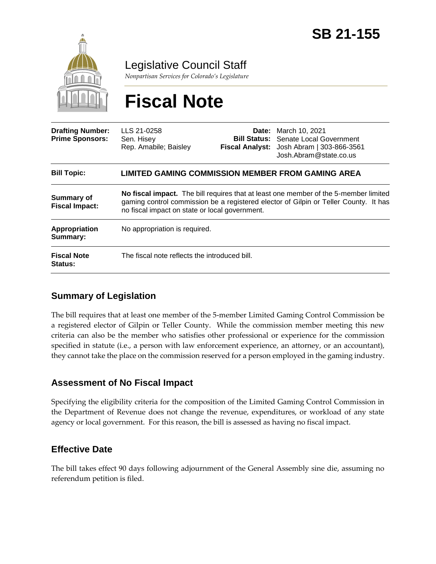

Legislative Council Staff

*Nonpartisan Services for Colorado's Legislature*

# **Fiscal Note**

| <b>Drafting Number:</b><br><b>Prime Sponsors:</b> | LLS 21-0258<br>Sen. Hisey<br>Rep. Amabile; Baisley                                                                                                                                                                             |  | <b>Date:</b> March 10, 2021<br><b>Bill Status:</b> Senate Local Government<br>Fiscal Analyst: Josh Abram   303-866-3561<br>Josh.Abram@state.co.us |
|---------------------------------------------------|--------------------------------------------------------------------------------------------------------------------------------------------------------------------------------------------------------------------------------|--|---------------------------------------------------------------------------------------------------------------------------------------------------|
| <b>Bill Topic:</b>                                | LIMITED GAMING COMMISSION MEMBER FROM GAMING AREA                                                                                                                                                                              |  |                                                                                                                                                   |
| <b>Summary of</b><br><b>Fiscal Impact:</b>        | No fiscal impact. The bill requires that at least one member of the 5-member limited<br>gaming control commission be a registered elector of Gilpin or Teller County. It has<br>no fiscal impact on state or local government. |  |                                                                                                                                                   |
| <b>Appropriation</b><br>Summary:                  | No appropriation is required.                                                                                                                                                                                                  |  |                                                                                                                                                   |
| <b>Fiscal Note</b><br>Status:                     | The fiscal note reflects the introduced bill.                                                                                                                                                                                  |  |                                                                                                                                                   |

## **Summary of Legislation**

The bill requires that at least one member of the 5-member Limited Gaming Control Commission be a registered elector of Gilpin or Teller County. While the commission member meeting this new criteria can also be the member who satisfies other professional or experience for the commission specified in statute (i.e., a person with law enforcement experience, an attorney, or an accountant), they cannot take the place on the commission reserved for a person employed in the gaming industry.

## **Assessment of No Fiscal Impact**

Specifying the eligibility criteria for the composition of the Limited Gaming Control Commission in the Department of Revenue does not change the revenue, expenditures, or workload of any state agency or local government. For this reason, the bill is assessed as having no fiscal impact.

## **Effective Date**

The bill takes effect 90 days following adjournment of the General Assembly sine die, assuming no referendum petition is filed.